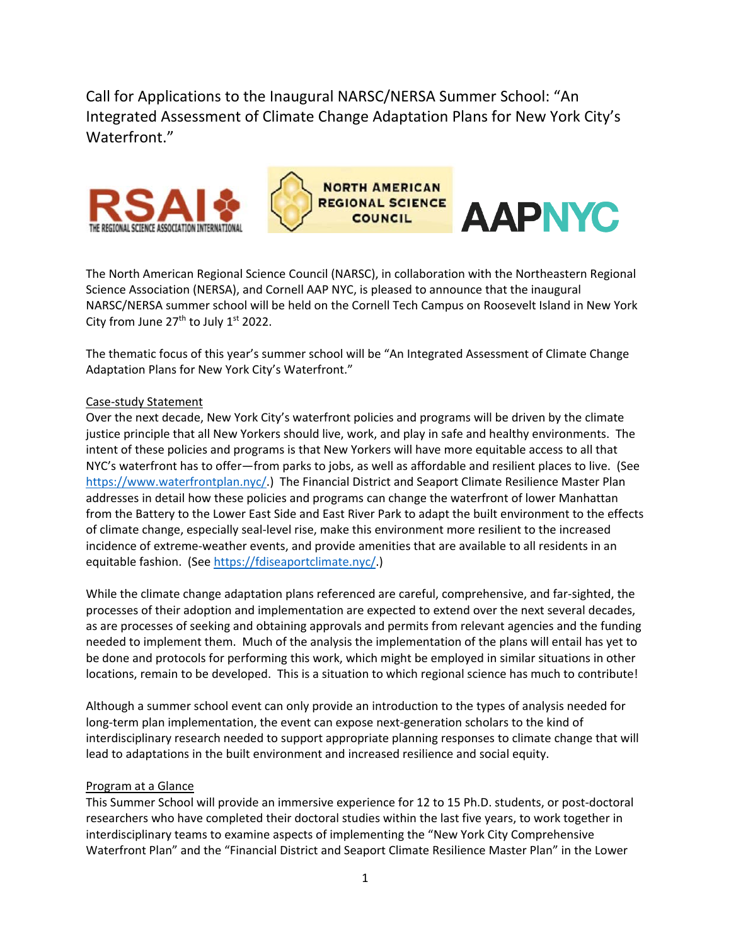Call for Applications to the Inaugural NARSC/NERSA Summer School: "An Integrated Assessment of Climate Change Adaptation Plans for New York City's Waterfront."





**AAPNYC** 

The North American Regional Science Council (NARSC), in collaboration with the Northeastern Regional Science Association (NERSA), and Cornell AAP NYC, is pleased to announce that the inaugural NARSC/NERSA summer school will be held on the Cornell Tech Campus on Roosevelt Island in New York City from June  $27<sup>th</sup>$  to July  $1<sup>st</sup>$  2022.

The thematic focus of this year's summer school will be "An Integrated Assessment of Climate Change Adaptation Plans for New York City's Waterfront."

### Case-study Statement

Over the next decade, New York City's waterfront policies and programs will be driven by the climate justice principle that all New Yorkers should live, work, and play in safe and healthy environments. The intent of these policies and programs is that New Yorkers will have more equitable access to all that NYC's waterfront has to offer—from parks to jobs, as well as affordable and resilient places to live. (See [https://www.waterfrontplan.nyc/.](https://www.waterfrontplan.nyc/)) The Financial District and Seaport Climate Resilience Master Plan addresses in detail how these policies and programs can change the waterfront of lower Manhattan from the Battery to the Lower East Side and East River Park to adapt the built environment to the effects of climate change, especially seal-level rise, make this environment more resilient to the increased incidence of extreme-weather events, and provide amenities that are available to all residents in an equitable fashion. (See [https://fdiseaportclimate.nyc/.](https://fdiseaportclimate.nyc/))

While the climate change adaptation plans referenced are careful, comprehensive, and far-sighted, the processes of their adoption and implementation are expected to extend over the next several decades, as are processes of seeking and obtaining approvals and permits from relevant agencies and the funding needed to implement them. Much of the analysis the implementation of the plans will entail has yet to be done and protocols for performing this work, which might be employed in similar situations in other locations, remain to be developed. This is a situation to which regional science has much to contribute!

Although a summer school event can only provide an introduction to the types of analysis needed for long-term plan implementation, the event can expose next-generation scholars to the kind of interdisciplinary research needed to support appropriate planning responses to climate change that will lead to adaptations in the built environment and increased resilience and social equity.

#### Program at a Glance

This Summer School will provide an immersive experience for 12 to 15 Ph.D. students, or post-doctoral researchers who have completed their doctoral studies within the last five years, to work together in interdisciplinary teams to examine aspects of implementing the "New York City Comprehensive Waterfront Plan" and the "Financial District and Seaport Climate Resilience Master Plan" in the Lower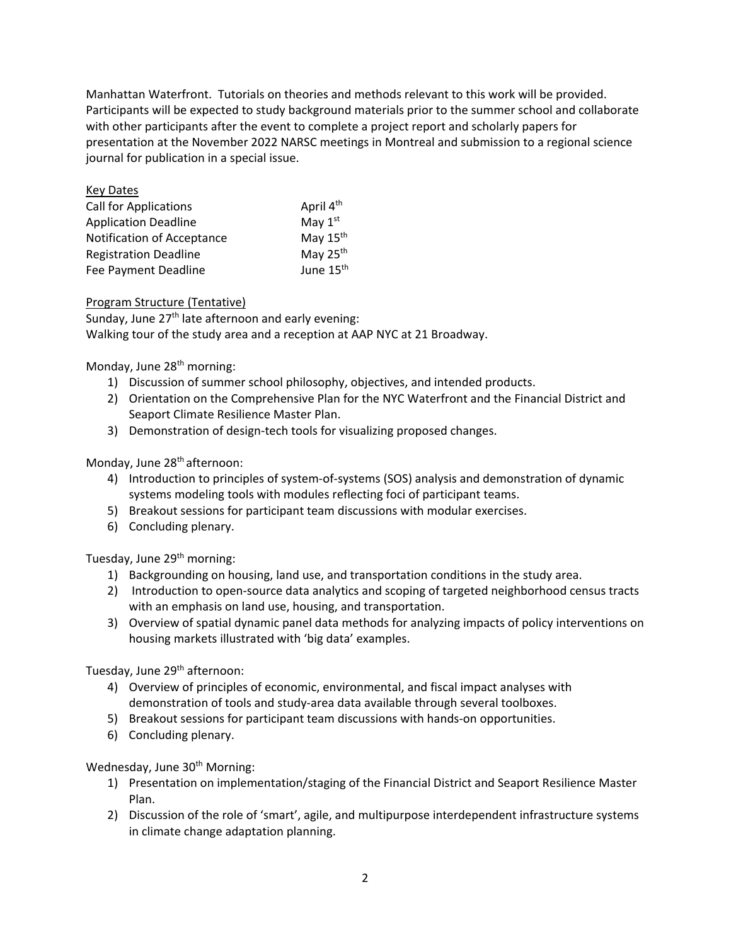Manhattan Waterfront. Tutorials on theories and methods relevant to this work will be provided. Participants will be expected to study background materials prior to the summer school and collaborate with other participants after the event to complete a project report and scholarly papers for presentation at the November 2022 NARSC meetings in Montreal and submission to a regional science journal for publication in a special issue.

| <b>Key Dates</b>             |                       |
|------------------------------|-----------------------|
| <b>Call for Applications</b> | April 4 <sup>th</sup> |
| <b>Application Deadline</b>  | May 1st               |
| Notification of Acceptance   | May 15 <sup>th</sup>  |
| <b>Registration Deadline</b> | May 25 <sup>th</sup>  |
| Fee Payment Deadline         | June 15 <sup>th</sup> |

### Program Structure (Tentative)

Sunday, June 27<sup>th</sup> late afternoon and early evening: Walking tour of the study area and a reception at AAP NYC at 21 Broadway.

### Monday, June 28<sup>th</sup> morning:

- 1) Discussion of summer school philosophy, objectives, and intended products.
- 2) Orientation on the Comprehensive Plan for the NYC Waterfront and the Financial District and Seaport Climate Resilience Master Plan.
- 3) Demonstration of design-tech tools for visualizing proposed changes.

### Monday, June 28<sup>th</sup> afternoon:

- 4) Introduction to principles of system-of-systems (SOS) analysis and demonstration of dynamic systems modeling tools with modules reflecting foci of participant teams.
- 5) Breakout sessions for participant team discussions with modular exercises.
- 6) Concluding plenary.

### Tuesday, June 29<sup>th</sup> morning:

- 1) Backgrounding on housing, land use, and transportation conditions in the study area.
- 2) Introduction to open-source data analytics and scoping of targeted neighborhood census tracts with an emphasis on land use, housing, and transportation.
- 3) Overview of spatial dynamic panel data methods for analyzing impacts of policy interventions on housing markets illustrated with 'big data' examples.

Tuesday, June 29<sup>th</sup> afternoon:

- 4) Overview of principles of economic, environmental, and fiscal impact analyses with demonstration of tools and study-area data available through several toolboxes.
- 5) Breakout sessions for participant team discussions with hands-on opportunities.
- 6) Concluding plenary.

Wednesday, June 30<sup>th</sup> Morning:

- 1) Presentation on implementation/staging of the Financial District and Seaport Resilience Master Plan.
- 2) Discussion of the role of 'smart', agile, and multipurpose interdependent infrastructure systems in climate change adaptation planning.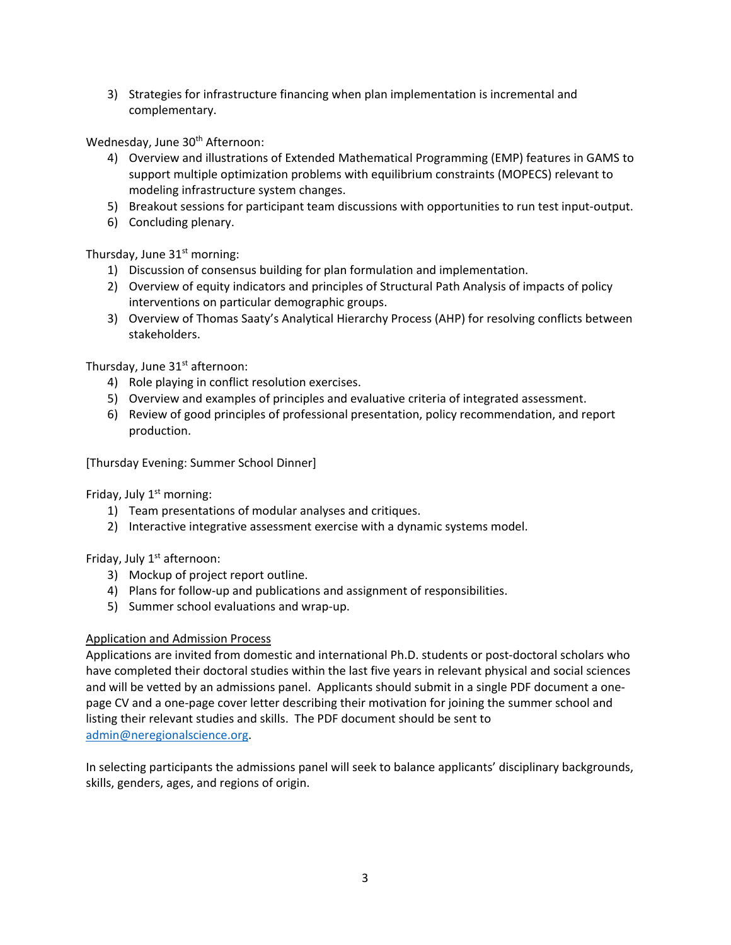3) Strategies for infrastructure financing when plan implementation is incremental and complementary.

Wednesday, June 30<sup>th</sup> Afternoon:

- 4) Overview and illustrations of Extended Mathematical Programming (EMP) features in GAMS to support multiple optimization problems with equilibrium constraints (MOPECS) relevant to modeling infrastructure system changes.
- 5) Breakout sessions for participant team discussions with opportunities to run test input-output.
- 6) Concluding plenary.

Thursday, June  $31<sup>st</sup>$  morning:

- 1) Discussion of consensus building for plan formulation and implementation.
- 2) Overview of equity indicators and principles of Structural Path Analysis of impacts of policy interventions on particular demographic groups.
- 3) Overview of Thomas Saaty's Analytical Hierarchy Process (AHP) for resolving conflicts between stakeholders.

Thursday, June 31<sup>st</sup> afternoon:

- 4) Role playing in conflict resolution exercises.
- 5) Overview and examples of principles and evaluative criteria of integrated assessment.
- 6) Review of good principles of professional presentation, policy recommendation, and report production.

[Thursday Evening: Summer School Dinner]

Friday, July  $1<sup>st</sup>$  morning:

- 1) Team presentations of modular analyses and critiques.
- 2) Interactive integrative assessment exercise with a dynamic systems model.

Friday, July 1<sup>st</sup> afternoon:

- 3) Mockup of project report outline.
- 4) Plans for follow-up and publications and assignment of responsibilities.
- 5) Summer school evaluations and wrap-up.

### Application and Admission Process

Applications are invited from domestic and international Ph.D. students or post-doctoral scholars who have completed their doctoral studies within the last five years in relevant physical and social sciences and will be vetted by an admissions panel. Applicants should submit in a single PDF document a onepage CV and a one-page cover letter describing their motivation for joining the summer school and listing their relevant studies and skills. The PDF document should be sent to [admin@neregionalscience.org.](mailto:admin@neregionalscience.org)

In selecting participants the admissions panel will seek to balance applicants' disciplinary backgrounds, skills, genders, ages, and regions of origin.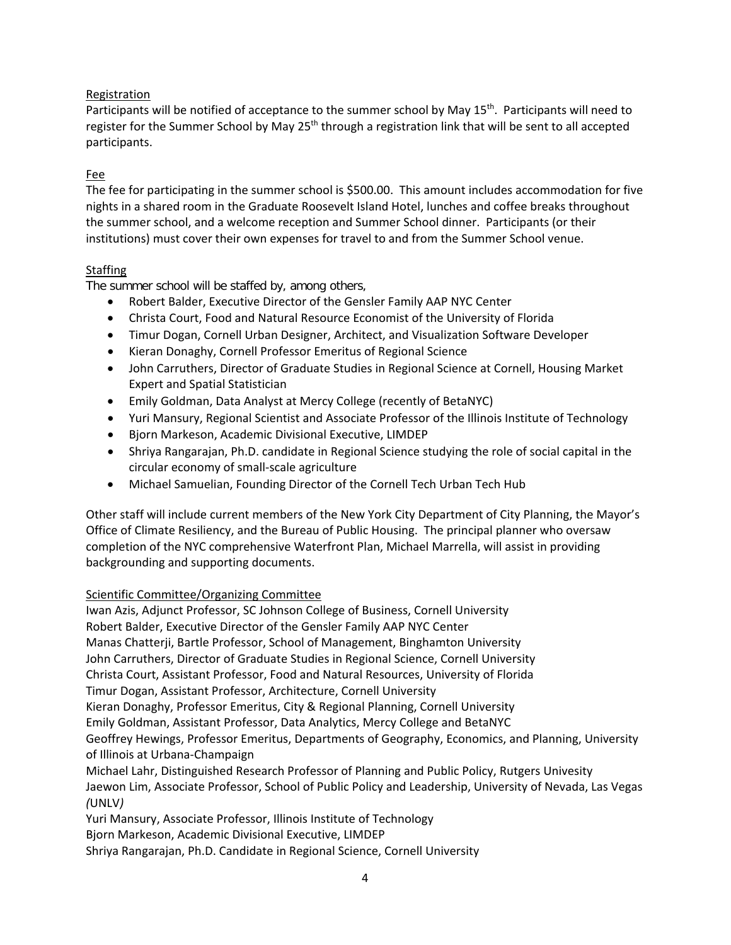## Registration

Participants will be notified of acceptance to the summer school by May 15<sup>th</sup>. Participants will need to register for the Summer School by May 25<sup>th</sup> through a registration link that will be sent to all accepted participants.

# Fee

The fee for participating in the summer school is \$500.00. This amount includes accommodation for five nights in a shared room in the Graduate Roosevelt Island Hotel, lunches and coffee breaks throughout the summer school, and a welcome reception and Summer School dinner. Participants (or their institutions) must cover their own expenses for travel to and from the Summer School venue.

## **Staffing**

The summer school will be staffed by, among others,

- Robert Balder, Executive Director of the Gensler Family AAP NYC Center
- Christa Court, Food and Natural Resource Economist of the University of Florida
- Timur Dogan, Cornell Urban Designer, Architect, and Visualization Software Developer
- Kieran Donaghy, Cornell Professor Emeritus of Regional Science
- John Carruthers, Director of Graduate Studies in Regional Science at Cornell, Housing Market Expert and Spatial Statistician
- Emily Goldman, Data Analyst at Mercy College (recently of BetaNYC)
- Yuri Mansury, Regional Scientist and Associate Professor of the Illinois Institute of Technology
- Bjorn Markeson, Academic Divisional Executive, LIMDEP
- Shriya Rangarajan, Ph.D. candidate in Regional Science studying the role of social capital in the circular economy of small-scale agriculture
- Michael Samuelian, Founding Director of the Cornell Tech Urban Tech Hub

Other staff will include current members of the New York City Department of City Planning, the Mayor's Office of Climate Resiliency, and the Bureau of Public Housing. The principal planner who oversaw completion of the NYC comprehensive Waterfront Plan, Michael Marrella, will assist in providing backgrounding and supporting documents.

## Scientific Committee/Organizing Committee

Iwan Azis, Adjunct Professor, SC Johnson College of Business, Cornell University Robert Balder, Executive Director of the Gensler Family AAP NYC Center Manas Chatterji, Bartle Professor, School of Management, Binghamton University John Carruthers, Director of Graduate Studies in Regional Science, Cornell University Christa Court, Assistant Professor, Food and Natural Resources, University of Florida Timur Dogan, Assistant Professor, Architecture, Cornell University Kieran Donaghy, Professor Emeritus, City & Regional Planning, Cornell University Emily Goldman, Assistant Professor, Data Analytics, Mercy College and BetaNYC Geoffrey Hewings, Professor Emeritus, Departments of Geography, Economics, and Planning, University of Illinois at Urbana-Champaign Michael Lahr, Distinguished Research Professor of Planning and Public Policy, Rutgers Univesity

Jaewon Lim, Associate Professor, School of Public Policy and Leadership, University of Nevada, Las Vegas *(*UNLV*)*

Yuri Mansury, Associate Professor, Illinois Institute of Technology

Bjorn Markeson, Academic Divisional Executive, LIMDEP

Shriya Rangarajan, Ph.D. Candidate in Regional Science, Cornell University